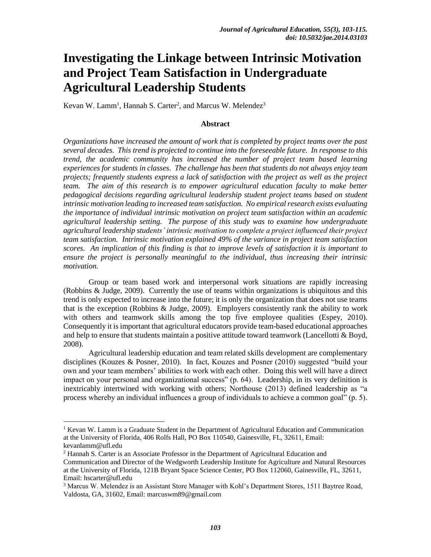# **Investigating the Linkage between Intrinsic Motivation and Project Team Satisfaction in Undergraduate Agricultural Leadership Students**

Kevan W. Lamm<sup>1</sup>, Hannah S. Carter<sup>2</sup>, and Marcus W. Melendez<sup>3</sup>

#### **Abstract**

*Organizations have increased the amount of work that is completed by project teams over the past several decades. This trend is projected to continue into the foreseeable future. In response to this trend, the academic community has increased the number of project team based learning experiences for students in classes. The challenge has been that students do not always enjoy team projects; frequently students express a lack of satisfaction with the project as well as the project team. The aim of this research is to empower agricultural education faculty to make better pedagogical decisions regarding agricultural leadership student project teams based on student intrinsic motivation leading to increased team satisfaction. No empirical research exists evaluating the importance of individual intrinsic motivation on project team satisfaction within an academic agricultural leadership setting. The purpose of this study was to examine how undergraduate agricultural leadership students' intrinsic motivation to complete a project influenced their project team satisfaction. Intrinsic motivation explained 49% of the variance in project team satisfaction scores. An implication of this finding is that to improve levels of satisfaction it is important to ensure the project is personally meaningful to the individual, thus increasing their intrinsic motivation.* 

Group or team based work and interpersonal work situations are rapidly increasing (Robbins & Judge, 2009). Currently the use of teams within organizations is ubiquitous and this trend is only expected to increase into the future; it is only the organization that does not use teams that is the exception (Robbins & Judge, 2009). Employers consistently rank the ability to work with others and teamwork skills among the top five employee qualities (Espey, 2010). Consequently it is important that agricultural educators provide team-based educational approaches and help to ensure that students maintain a positive attitude toward teamwork (Lancellotti & Boyd, 2008).

Agricultural leadership education and team related skills development are complementary disciplines (Kouzes & Posner, 2010). In fact, Kouzes and Posner (2010) suggested "build your own and your team members' abilities to work with each other. Doing this well will have a direct impact on your personal and organizational success" (p. 64). Leadership, in its very definition is inextricably intertwined with working with others; Northouse (2013) defined leadership as "a process whereby an individual influences a group of individuals to achieve a common goal" (p. 5).

 $\overline{a}$ 

<sup>&</sup>lt;sup>1</sup> Kevan W. Lamm is a Graduate Student in the Department of Agricultural Education and Communication at the University of Florida, 406 Rolfs Hall, PO Box 110540, Gainesville, FL, 32611, Email: kevanlamm@ufl.edu

<sup>2</sup> Hannah S. Carter is an Associate Professor in the Department of Agricultural Education and

Communication and Director of the Wedgworth Leadership Institute for Agriculture and Natural Resources at the University of Florida, 121B Bryant Space Science Center, PO Box 112060, Gainesville, FL, 32611, Email: hscarter@ufl.edu

<sup>3</sup> Marcus W. Melendez is an Assistant Store Manager with Kohl's Department Stores, 1511 Baytree Road, Valdosta, GA, 31602, Email: marcuswm89@gmail.com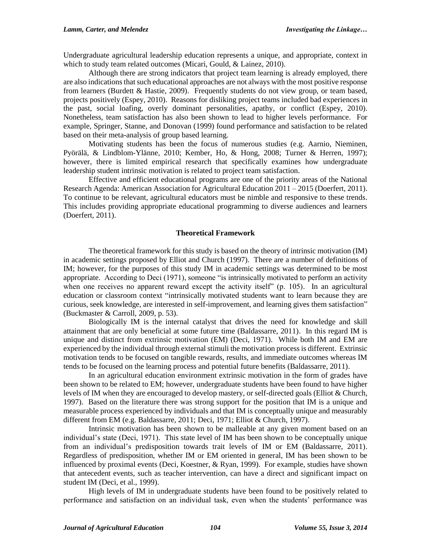Undergraduate agricultural leadership education represents a unique, and appropriate, context in which to study team related outcomes (Micari, Gould, & Lainez, 2010).

Although there are strong indicators that project team learning is already employed, there are also indications that such educational approaches are not always with the most positive response from learners (Burdett & Hastie, 2009). Frequently students do not view group, or team based, projects positively (Espey, 2010). Reasons for disliking project teams included bad experiences in the past, social loafing, overly dominant personalities, apathy, or conflict (Espey, 2010). Nonetheless, team satisfaction has also been shown to lead to higher levels performance. For example, Springer, Stanne, and Donovan (1999) found performance and satisfaction to be related based on their meta-analysis of group based learning.

Motivating students has been the focus of numerous studies (e.g. Aarnio, Nieminen, Pyörälä, & Lindblom-Ylänne, 2010; Kember, Ho, & Hong, 2008; Turner & Herren, 1997); however, there is limited empirical research that specifically examines how undergraduate leadership student intrinsic motivation is related to project team satisfaction.

Effective and efficient educational programs are one of the priority areas of the National Research Agenda: American Association for Agricultural Education 2011 – 2015 (Doerfert, 2011). To continue to be relevant, agricultural educators must be nimble and responsive to these trends. This includes providing appropriate educational programming to diverse audiences and learners (Doerfert, 2011).

## **Theoretical Framework**

The theoretical framework for this study is based on the theory of intrinsic motivation (IM) in academic settings proposed by Elliot and Church (1997). There are a number of definitions of IM; however, for the purposes of this study IM in academic settings was determined to be most appropriate. According to Deci (1971), someone "is intrinsically motivated to perform an activity when one receives no apparent reward except the activity itself" (p. 105). In an agricultural education or classroom context "intrinsically motivated students want to learn because they are curious, seek knowledge, are interested in self-improvement, and learning gives them satisfaction" (Buckmaster & Carroll, 2009, p. 53).

Biologically IM is the internal catalyst that drives the need for knowledge and skill attainment that are only beneficial at some future time (Baldassarre, 2011). In this regard IM is unique and distinct from extrinsic motivation (EM) (Deci, 1971). While both IM and EM are experienced by the individual through external stimuli the motivation process is different. Extrinsic motivation tends to be focused on tangible rewards, results, and immediate outcomes whereas IM tends to be focused on the learning process and potential future benefits (Baldassarre, 2011).

In an agricultural education environment extrinsic motivation in the form of grades have been shown to be related to EM; however, undergraduate students have been found to have higher levels of IM when they are encouraged to develop mastery, or self-directed goals (Elliot & Church, 1997). Based on the literature there was strong support for the position that IM is a unique and measurable process experienced by individuals and that IM is conceptually unique and measurably different from EM (e.g. Baldassarre, 2011; Deci, 1971; Elliot & Church, 1997).

Intrinsic motivation has been shown to be malleable at any given moment based on an individual's state (Deci, 1971). This state level of IM has been shown to be conceptually unique from an individual's predisposition towards trait levels of IM or EM (Baldassarre, 2011). Regardless of predisposition, whether IM or EM oriented in general, IM has been shown to be influenced by proximal events (Deci, Koestner, & Ryan, 1999). For example, studies have shown that antecedent events, such as teacher intervention, can have a direct and significant impact on student IM (Deci, et al., 1999).

High levels of IM in undergraduate students have been found to be positively related to performance and satisfaction on an individual task, even when the students' performance was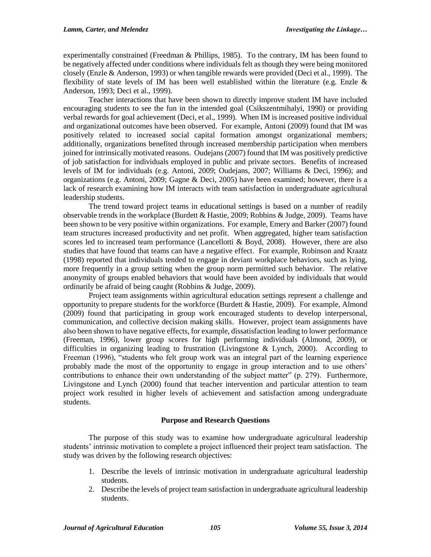experimentally constrained (Freedman & Phillips, 1985). To the contrary, IM has been found to be negatively affected under conditions where individuals felt as though they were being monitored closely (Enzle & Anderson, 1993) or when tangible rewards were provided (Deci et al., 1999). The flexibility of state levels of IM has been well established within the literature (e.g. Enzle & Anderson, 1993; Deci et al., 1999).

Teacher interactions that have been shown to directly improve student IM have included encouraging students to see the fun in the intended goal (Csikszentmihalyi, 1990) or providing verbal rewards for goal achievement (Deci, et al., 1999). When IM is increased positive individual and organizational outcomes have been observed. For example, Antoni (2009) found that IM was positively related to increased social capital formation amongst organizational members; additionally, organizations benefited through increased membership participation when members joined for intrinsically motivated reasons. Oudejans (2007) found that IM was positively predictive of job satisfaction for individuals employed in public and private sectors. Benefits of increased levels of IM for individuals (e.g. Antoni, 2009; Oudejans, 2007; Williams & Deci, 1996); and organizations (e.g. Antoni, 2009; Gagne & Deci, 2005) have been examined; however, there is a lack of research examining how IM interacts with team satisfaction in undergraduate agricultural leadership students.

The trend toward project teams in educational settings is based on a number of readily observable trends in the workplace (Burdett & Hastie, 2009; Robbins & Judge, 2009). Teams have been shown to be very positive within organizations. For example, Emery and Barker (2007) found team structures increased productivity and net profit. When aggregated, higher team satisfaction scores led to increased team performance (Lancellotti & Boyd, 2008). However, there are also studies that have found that teams can have a negative effect. For example, Robinson and Kraatz (1998) reported that individuals tended to engage in deviant workplace behaviors, such as lying, more frequently in a group setting when the group norm permitted such behavior. The relative anonymity of groups enabled behaviors that would have been avoided by individuals that would ordinarily be afraid of being caught (Robbins & Judge, 2009).

Project team assignments within agricultural education settings represent a challenge and opportunity to prepare students for the workforce (Burdett & Hastie, 2009). For example, Almond (2009) found that participating in group work encouraged students to develop interpersonal, communication, and collective decision making skills. However, project team assignments have also been shown to have negative effects, for example, dissatisfaction leading to lower performance (Freeman, 1996), lower group scores for high performing individuals (Almond, 2009), or difficulties in organizing leading to frustration (Livingstone & Lynch, 2000). According to Freeman (1996), "students who felt group work was an integral part of the learning experience probably made the most of the opportunity to engage in group interaction and to use others' contributions to enhance their own understanding of the subject matter" (p. 279). Furthermore, Livingstone and Lynch (2000) found that teacher intervention and particular attention to team project work resulted in higher levels of achievement and satisfaction among undergraduate students.

## **Purpose and Research Questions**

The purpose of this study was to examine how undergraduate agricultural leadership students' intrinsic motivation to complete a project influenced their project team satisfaction. The study was driven by the following research objectives:

- 1. Describe the levels of intrinsic motivation in undergraduate agricultural leadership students.
- 2. Describe the levels of project team satisfaction in undergraduate agricultural leadership students.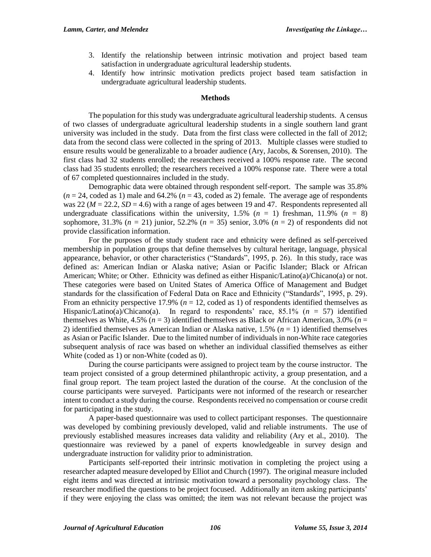- 3. Identify the relationship between intrinsic motivation and project based team satisfaction in undergraduate agricultural leadership students.
- 4. Identify how intrinsic motivation predicts project based team satisfaction in undergraduate agricultural leadership students.

#### **Methods**

The population for this study was undergraduate agricultural leadership students. A census of two classes of undergraduate agricultural leadership students in a single southern land grant university was included in the study. Data from the first class were collected in the fall of 2012; data from the second class were collected in the spring of 2013. Multiple classes were studied to ensure results would be generalizable to a broader audience (Ary, Jacobs, & Sorensen, 2010). The first class had 32 students enrolled; the researchers received a 100% response rate. The second class had 35 students enrolled; the researchers received a 100% response rate. There were a total of 67 completed questionnaires included in the study.

Demographic data were obtained through respondent self-report. The sample was 35.8%  $(n = 24, \text{ coded as } 1)$  male and  $64.2\%$   $(n = 43, \text{ coded as } 2)$  female. The average age of respondents was 22 ( $M = 22.2$ ,  $SD = 4.6$ ) with a range of ages between 19 and 47. Respondents represented all undergraduate classifications within the university,  $1.5\%$  ( $n = 1$ ) freshman,  $11.9\%$  ( $n = 8$ ) sophomore, 31.3% ( $n = 21$ ) junior, 52.2% ( $n = 35$ ) senior, 3.0% ( $n = 2$ ) of respondents did not provide classification information.

For the purposes of the study student race and ethnicity were defined as self-perceived membership in population groups that define themselves by cultural heritage, language, physical appearance, behavior, or other characteristics ("Standards", 1995, p. 26). In this study, race was defined as: American Indian or Alaska native; Asian or Pacific Islander; Black or African American; White; or Other. Ethnicity was defined as either Hispanic/Latino(a)/Chicano(a) or not. These categories were based on United States of America Office of Management and Budget standards for the classification of Federal Data on Race and Ethnicity ("Standards", 1995, p. 29). From an ethnicity perspective 17.9% ( $n = 12$ , coded as 1) of respondents identified themselves as Hispanic/Latino(a)/Chicano(a). In regard to respondents' race, 85.1% (*n* = 57) identified themselves as White,  $4.5\%$  ( $n = 3$ ) identified themselves as Black or African American,  $3.0\%$  ( $n =$ 2) identified themselves as American Indian or Alaska native, 1.5% (*n* = 1) identified themselves as Asian or Pacific Islander. Due to the limited number of individuals in non-White race categories subsequent analysis of race was based on whether an individual classified themselves as either White (coded as 1) or non-White (coded as 0).

During the course participants were assigned to project team by the course instructor. The team project consisted of a group determined philanthropic activity, a group presentation, and a final group report. The team project lasted the duration of the course. At the conclusion of the course participants were surveyed. Participants were not informed of the research or researcher intent to conduct a study during the course. Respondents received no compensation or course credit for participating in the study.

A paper-based questionnaire was used to collect participant responses. The questionnaire was developed by combining previously developed, valid and reliable instruments. The use of previously established measures increases data validity and reliability (Ary et al., 2010). The questionnaire was reviewed by a panel of experts knowledgeable in survey design and undergraduate instruction for validity prior to administration.

Participants self-reported their intrinsic motivation in completing the project using a researcher adapted measure developed by Elliot and Church (1997). The original measure included eight items and was directed at intrinsic motivation toward a personality psychology class. The researcher modified the questions to be project focused. Additionally an item asking participants' if they were enjoying the class was omitted; the item was not relevant because the project was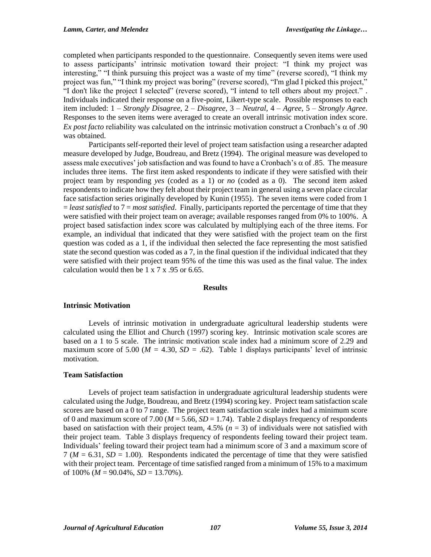completed when participants responded to the questionnaire. Consequently seven items were used to assess participants' intrinsic motivation toward their project: "I think my project was interesting," "I think pursuing this project was a waste of my time" (reverse scored), "I think my project was fun," "I think my project was boring" (reverse scored), "I'm glad I picked this project," "I don't like the project I selected" (reverse scored), "I intend to tell others about my project." . Individuals indicated their response on a five-point, Likert-type scale. Possible responses to each item included: 1 – *Strongly Disagree*, 2 – *Disagree*, 3 – *Neutral*, 4 – *Agree*, 5 – *Strongly Agree*. Responses to the seven items were averaged to create an overall intrinsic motivation index score. *Ex post facto* reliability was calculated on the intrinsic motivation construct a Cronbach's  $\alpha$  of .90 was obtained.

Participants self-reported their level of project team satisfaction using a researcher adapted measure developed by Judge, Boudreau, and Bretz (1994). The original measure was developed to assess male executives' job satisfaction and was found to have a Cronbach's  $\alpha$  of .85. The measure includes three items. The first item asked respondents to indicate if they were satisfied with their project team by responding *yes* (coded as a 1) or *no* (coded as a 0). The second item asked respondents to indicate how they felt about their project team in general using a seven place circular face satisfaction series originally developed by Kunin (1955). The seven items were coded from 1 = *least satisfied* to 7 = *most satisfied*. Finally, participants reported the percentage of time that they were satisfied with their project team on average; available responses ranged from 0% to 100%. A project based satisfaction index score was calculated by multiplying each of the three items. For example, an individual that indicated that they were satisfied with the project team on the first question was coded as a 1, if the individual then selected the face representing the most satisfied state the second question was coded as a 7, in the final question if the individual indicated that they were satisfied with their project team 95% of the time this was used as the final value. The index calculation would then be  $1 \times 7 \times .95$  or 6.65.

#### **Results**

## **Intrinsic Motivation**

Levels of intrinsic motivation in undergraduate agricultural leadership students were calculated using the Elliot and Church (1997) scoring key. Intrinsic motivation scale scores are based on a 1 to 5 scale. The intrinsic motivation scale index had a minimum score of 2.29 and maximum score of 5.00 ( $M = 4.30$ ,  $SD = .62$ ). Table 1 displays participants' level of intrinsic motivation.

## **Team Satisfaction**

Levels of project team satisfaction in undergraduate agricultural leadership students were calculated using the Judge, Boudreau, and Bretz (1994) scoring key. Project team satisfaction scale scores are based on a 0 to 7 range. The project team satisfaction scale index had a minimum score of 0 and maximum score of 7.00 ( $M = 5.66$ ,  $SD = 1.74$ ). Table 2 displays frequency of respondents based on satisfaction with their project team,  $4.5\%$  ( $n = 3$ ) of individuals were not satisfied with their project team. Table 3 displays frequency of respondents feeling toward their project team. Individuals' feeling toward their project team had a minimum score of 3 and a maximum score of  $7 (M = 6.31, SD = 1.00)$ . Respondents indicated the percentage of time that they were satisfied with their project team. Percentage of time satisfied ranged from a minimum of 15% to a maximum of  $100\%$  ( $M = 90.04\%$ ,  $SD = 13.70\%$ ).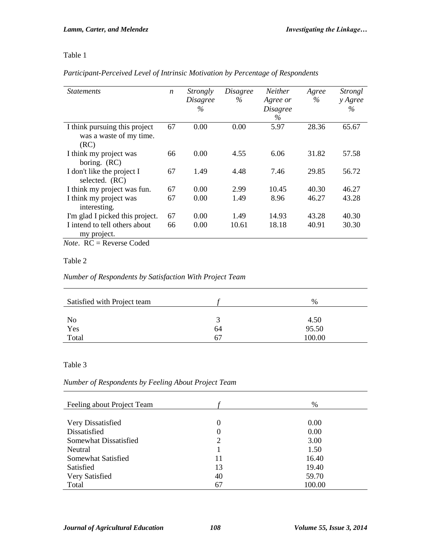# Table 1

## *Participant-Perceived Level of Intrinsic Motivation by Percentage of Respondents*

| <i>Statements</i>                                                | $\boldsymbol{n}$ | Strongly<br><i>Disagree</i><br>$\%$ | <i>Disagree</i><br>$\%$ | <b>Neither</b><br>Agree or<br><i>Disagree</i><br>$\%$ | Agree<br>$\%$ | Strongl<br>y Agree<br>$\%$ |
|------------------------------------------------------------------|------------------|-------------------------------------|-------------------------|-------------------------------------------------------|---------------|----------------------------|
| I think pursuing this project<br>was a waste of my time.<br>(RC) | 67               | 0.00                                | 0.00                    | 5.97                                                  | 28.36         | 65.67                      |
| I think my project was<br>boring. (RC)                           | 66               | 0.00                                | 4.55                    | 6.06                                                  | 31.82         | 57.58                      |
| I don't like the project I<br>selected. (RC)                     | 67               | 1.49                                | 4.48                    | 7.46                                                  | 29.85         | 56.72                      |
| I think my project was fun.                                      | 67               | 0.00                                | 2.99                    | 10.45                                                 | 40.30         | 46.27                      |
| I think my project was<br>interesting.                           | 67               | 0.00                                | 1.49                    | 8.96                                                  | 46.27         | 43.28                      |
| I'm glad I picked this project.                                  | 67               | 0.00                                | 1.49                    | 14.93                                                 | 43.28         | 40.30                      |
| I intend to tell others about<br>my project.                     | 66               | 0.00                                | 10.61                   | 18.18                                                 | 40.91         | 30.30                      |

*Note*. RC = Reverse Coded

# Table 2

## *Number of Respondents by Satisfaction With Project Team*

| Satisfied with Project team |    | $\%$   |
|-----------------------------|----|--------|
| N <sub>o</sub>              | ́  | 4.50   |
| Yes                         | 64 | 95.50  |
| Total                       | 67 | 100.00 |

# Table 3

# *Number of Respondents by Feeling About Project Team*

| Feeling about Project Team |                | $\%$   |
|----------------------------|----------------|--------|
|                            |                |        |
| Very Dissatisfied          | 0              | 0.00   |
| Dissatisfied               | 0              | 0.00   |
| Somewhat Dissatisfied      | $\overline{c}$ | 3.00   |
| Neutral                    |                | 1.50   |
| Somewhat Satisfied         | 11             | 16.40  |
| Satisfied                  | 13             | 19.40  |
| Very Satisfied             | 40             | 59.70  |
| Total                      | 67             | 100.00 |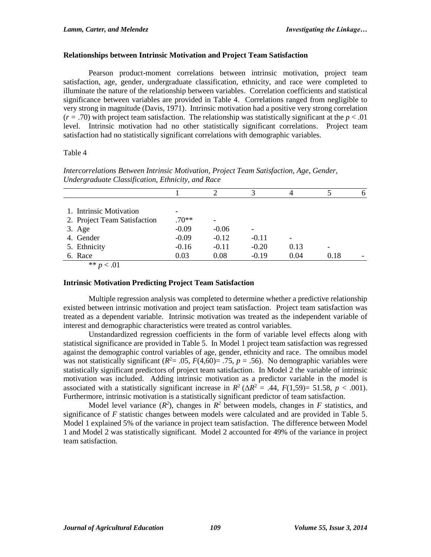## **Relationships between Intrinsic Motivation and Project Team Satisfaction**

Pearson product-moment correlations between intrinsic motivation, project team satisfaction, age, gender, undergraduate classification, ethnicity, and race were completed to illuminate the nature of the relationship between variables. Correlation coefficients and statistical significance between variables are provided in Table 4. Correlations ranged from negligible to very strong in magnitude (Davis, 1971). Intrinsic motivation had a positive very strong correlation  $(r = .70)$  with project team satisfaction. The relationship was statistically significant at the  $p < .01$ level. Intrinsic motivation had no other statistically significant correlations. Project team satisfaction had no statistically significant correlations with demographic variables.

## Table 4

|                              |         |         |         |      |      | <sub>0</sub> |
|------------------------------|---------|---------|---------|------|------|--------------|
|                              |         |         |         |      |      |              |
| 1. Intrinsic Motivation      |         |         |         |      |      |              |
| 2. Project Team Satisfaction | $.70**$ |         |         |      |      |              |
| $3. \text{Age}$              | $-0.09$ | $-0.06$ |         |      |      |              |
| 4. Gender                    | $-0.09$ | $-0.12$ | $-0.11$ |      |      |              |
| 5. Ethnicity                 | $-0.16$ | $-0.11$ | $-0.20$ | 0.13 |      |              |
| 6. Race                      | 0.03    | 0.08    | $-0.19$ | 0.04 | 0.18 |              |

*Intercorrelations Between Intrinsic Motivation, Project Team Satisfaction, Age, Gender, Undergraduate Classification, Ethnicity, and Race*

#### \*\* *p* < .01

## **Intrinsic Motivation Predicting Project Team Satisfaction**

Multiple regression analysis was completed to determine whether a predictive relationship existed between intrinsic motivation and project team satisfaction. Project team satisfaction was treated as a dependent variable. Intrinsic motivation was treated as the independent variable of interest and demographic characteristics were treated as control variables.

Unstandardized regression coefficients in the form of variable level effects along with statistical significance are provided in Table 5. In Model 1 project team satisfaction was regressed against the demographic control variables of age, gender, ethnicity and race. The omnibus model was not statistically significant ( $R^2$ = .05,  $F(4,60)$ = .75,  $p$  = .56). No demographic variables were statistically significant predictors of project team satisfaction. In Model 2 the variable of intrinsic motivation was included. Adding intrinsic motivation as a predictor variable in the model is associated with a statistically significant increase in  $R^2$  ( $\Delta R^2$  = .44,  $F(1,59)$ = 51.58,  $p < .001$ ). Furthermore, intrinsic motivation is a statistically significant predictor of team satisfaction.

Model level variance  $(R^2)$ , changes in  $R^2$  between models, changes in *F* statistics, and significance of *F* statistic changes between models were calculated and are provided in Table 5. Model 1 explained 5% of the variance in project team satisfaction. The difference between Model 1 and Model 2 was statistically significant. Model 2 accounted for 49% of the variance in project team satisfaction.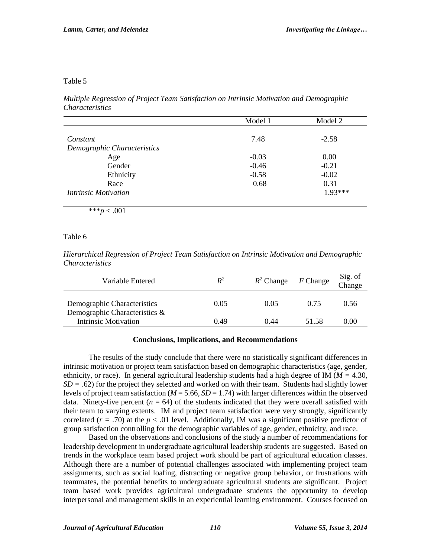#### Table 5

*Multiple Regression of Project Team Satisfaction on Intrinsic Motivation and Demographic Characteristics*

|                                    | Model 1 | Model 2  |
|------------------------------------|---------|----------|
|                                    |         |          |
| Constant                           | 7.48    | $-2.58$  |
| Demographic Characteristics        |         |          |
| Age                                | $-0.03$ | 0.00     |
| Gender                             | $-0.46$ | $-0.21$  |
| Ethnicity                          | $-0.58$ | $-0.02$  |
| Race                               | 0.68    | 0.31     |
| <i><b>Intrinsic Motivation</b></i> |         | $193***$ |

\*\*\**p* < .001

Table 6

*Hierarchical Regression of Project Team Satisfaction on Intrinsic Motivation and Demographic Characteristics*

| Variable Entered                                             | $R^2$ | $R^2$ Change | $F$ Change | Sig. of<br>Change |
|--------------------------------------------------------------|-------|--------------|------------|-------------------|
| Demographic Characteristics<br>Demographic Characteristics & | 0.05  | 0.05         | 0.75       | 0.56              |
| <b>Intrinsic Motivation</b>                                  | 0.49  | 0.44         | 51.58      | $0.00\,$          |

#### **Conclusions, Implications, and Recommendations**

The results of the study conclude that there were no statistically significant differences in intrinsic motivation or project team satisfaction based on demographic characteristics (age, gender, ethnicity, or race). In general agricultural leadership students had a high degree of IM (*M =* 4.30, *SD =* .62) for the project they selected and worked on with their team. Students had slightly lower levels of project team satisfaction ( $M = 5.66$ ,  $SD = 1.74$ ) with larger differences within the observed data. Ninety-five percent  $(n = 64)$  of the students indicated that they were overall satisfied with their team to varying extents. IM and project team satisfaction were very strongly, significantly correlated  $(r = .70)$  at the  $p < .01$  level. Additionally, IM was a significant positive predictor of group satisfaction controlling for the demographic variables of age, gender, ethnicity, and race.

Based on the observations and conclusions of the study a number of recommendations for leadership development in undergraduate agricultural leadership students are suggested. Based on trends in the workplace team based project work should be part of agricultural education classes. Although there are a number of potential challenges associated with implementing project team assignments, such as social loafing, distracting or negative group behavior, or frustrations with teammates, the potential benefits to undergraduate agricultural students are significant. Project team based work provides agricultural undergraduate students the opportunity to develop interpersonal and management skills in an experiential learning environment. Courses focused on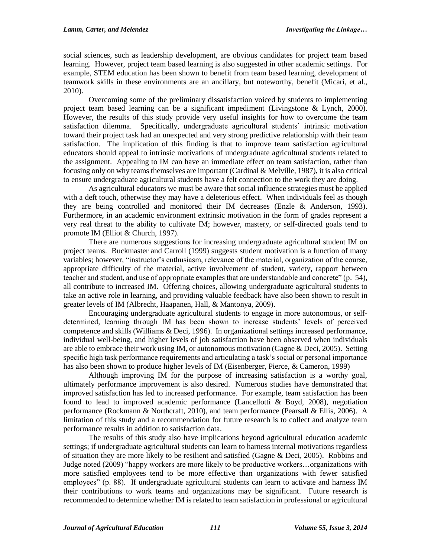social sciences, such as leadership development, are obvious candidates for project team based learning. However, project team based learning is also suggested in other academic settings. For example, STEM education has been shown to benefit from team based learning, development of teamwork skills in these environments are an ancillary, but noteworthy, benefit (Micari, et al., 2010).

Overcoming some of the preliminary dissatisfaction voiced by students to implementing project team based learning can be a significant impediment (Livingstone & Lynch, 2000). However, the results of this study provide very useful insights for how to overcome the team satisfaction dilemma. Specifically, undergraduate agricultural students' intrinsic motivation toward their project task had an unexpected and very strong predictive relationship with their team satisfaction. The implication of this finding is that to improve team satisfaction agricultural educators should appeal to intrinsic motivations of undergraduate agricultural students related to the assignment. Appealing to IM can have an immediate effect on team satisfaction, rather than focusing only on why teams themselves are important (Cardinal & Melville, 1987), it is also critical to ensure undergraduate agricultural students have a felt connection to the work they are doing.

As agricultural educators we must be aware that social influence strategies must be applied with a deft touch, otherwise they may have a deleterious effect. When individuals feel as though they are being controlled and monitored their IM decreases (Enzle & Anderson, 1993). Furthermore, in an academic environment extrinsic motivation in the form of grades represent a very real threat to the ability to cultivate IM; however, mastery, or self-directed goals tend to promote IM (Elliot & Church, 1997).

There are numerous suggestions for increasing undergraduate agricultural student IM on project teams. Buckmaster and Carroll (1999) suggests student motivation is a function of many variables; however, "instructor's enthusiasm, relevance of the material, organization of the course, appropriate difficulty of the material, active involvement of student, variety, rapport between teacher and student, and use of appropriate examples that are understandable and concrete" (p. 54), all contribute to increased IM. Offering choices, allowing undergraduate agricultural students to take an active role in learning, and providing valuable feedback have also been shown to result in greater levels of IM (Albrecht, Haapanen, Hall, & Mantonya, 2009).

Encouraging undergraduate agricultural students to engage in more autonomous, or selfdetermined, learning through IM has been shown to increase students' levels of perceived competence and skills (Williams & Deci, 1996). In organizational settings increased performance, individual well-being, and higher levels of job satisfaction have been observed when individuals are able to embrace their work using IM, or autonomous motivation (Gagne & Deci, 2005). Setting specific high task performance requirements and articulating a task's social or personal importance has also been shown to produce higher levels of IM (Eisenberger, Pierce, & Cameron, 1999)

Although improving IM for the purpose of increasing satisfaction is a worthy goal, ultimately performance improvement is also desired. Numerous studies have demonstrated that improved satisfaction has led to increased performance. For example, team satisfaction has been found to lead to improved academic performance (Lancellotti & Boyd, 2008), negotiation performance (Rockmann & Northcraft, 2010), and team performance (Pearsall & Ellis, 2006). A limitation of this study and a recommendation for future research is to collect and analyze team performance results in addition to satisfaction data.

The results of this study also have implications beyond agricultural education academic settings; if undergraduate agricultural students can learn to harness internal motivations regardless of situation they are more likely to be resilient and satisfied (Gagne & Deci, 2005). Robbins and Judge noted (2009) "happy workers are more likely to be productive workers…organizations with more satisfied employees tend to be more effective than organizations with fewer satisfied employees" (p. 88). If undergraduate agricultural students can learn to activate and harness IM their contributions to work teams and organizations may be significant. Future research is recommended to determine whether IM is related to team satisfaction in professional or agricultural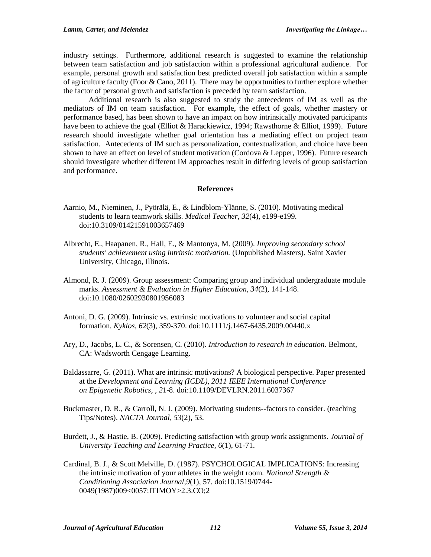industry settings. Furthermore, additional research is suggested to examine the relationship between team satisfaction and job satisfaction within a professional agricultural audience. For example, personal growth and satisfaction best predicted overall job satisfaction within a sample of agriculture faculty (Foor & Cano, 2011). There may be opportunities to further explore whether the factor of personal growth and satisfaction is preceded by team satisfaction.

Additional research is also suggested to study the antecedents of IM as well as the mediators of IM on team satisfaction. For example, the effect of goals, whether mastery or performance based, has been shown to have an impact on how intrinsically motivated participants have been to achieve the goal (Elliot & Harackiewicz, 1994; Rawsthorne & Elliot, 1999). Future research should investigate whether goal orientation has a mediating effect on project team satisfaction. Antecedents of IM such as personalization, contextualization, and choice have been shown to have an effect on level of student motivation (Cordova & Lepper, 1996). Future research should investigate whether different IM approaches result in differing levels of group satisfaction and performance.

#### **References**

- Aarnio, M., Nieminen, J., Pyörälä, E., & Lindblom-Ylänne, S. (2010). Motivating medical students to learn teamwork skills. *Medical Teacher, 32*(4), e199-e199. doi:10.3109/01421591003657469
- Albrecht, E., Haapanen, R., Hall, E., & Mantonya, M. (2009). *Improving secondary school students' achievement using intrinsic motivation.* (Unpublished Masters). Saint Xavier University, Chicago, Illinois.
- Almond, R. J. (2009). Group assessment: Comparing group and individual undergraduate module marks. *Assessment & Evaluation in Higher Education, 34*(2), 141-148. doi:10.1080/02602930801956083
- Antoni, D. G. (2009). Intrinsic vs. extrinsic motivations to volunteer and social capital formation. *Kyklos, 62*(3), 359-370. doi:10.1111/j.1467-6435.2009.00440.x
- Ary, D., Jacobs, L. C., & Sorensen, C. (2010). *Introduction to research in education*. Belmont, CA: Wadsworth Cengage Learning.
- Baldassarre, G. (2011). What are intrinsic motivations? A biological perspective. Paper presented at the *Development and Learning (ICDL), 2011 IEEE International Conference on Epigenetic Robotics, , 2*1-8. doi:10.1109/DEVLRN.2011.6037367
- Buckmaster, D. R., & Carroll, N. J. (2009). Motivating students--factors to consider. (teaching Tips/Notes). *NACTA Journal, 53*(2), 53.
- Burdett, J., & Hastie, B. (2009). Predicting satisfaction with group work assignments. *Journal of University Teaching and Learning Practice, 6*(1), 61-71.
- Cardinal, B. J., & Scott Melville, D. (1987). PSYCHOLOGICAL IMPLICATIONS: Increasing the intrinsic motivation of your athletes in the weight room. *National Strength & Conditioning Association Journal,9*(1), 57. doi:10.1519/0744- 0049(1987)009<0057:ITIMOY>2.3.CO;2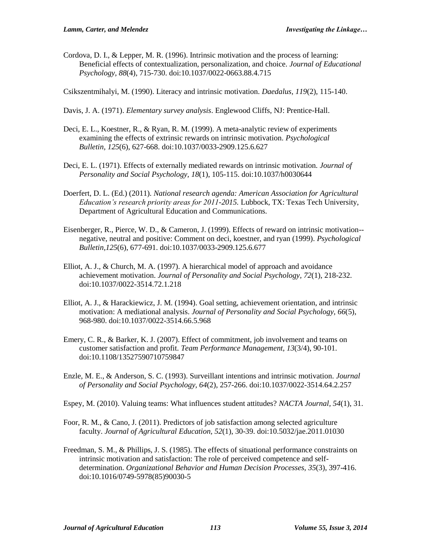Cordova, D. I., & Lepper, M. R. (1996). Intrinsic motivation and the process of learning: Beneficial effects of contextualization, personalization, and choice. *Journal of Educational Psychology, 88*(4), 715-730. doi:10.1037/0022-0663.88.4.715

Csikszentmihalyi, M. (1990). Literacy and intrinsic motivation. *Daedalus, 119*(2), 115-140.

- Davis, J. A. (1971). *Elementary survey analysis*. Englewood Cliffs, NJ: Prentice-Hall.
- Deci, E. L., Koestner, R., & Ryan, R. M. (1999). A meta-analytic review of experiments examining the effects of extrinsic rewards on intrinsic motivation. *Psychological Bulletin, 125*(6), 627-668. doi:10.1037/0033-2909.125.6.627
- Deci, E. L. (1971). Effects of externally mediated rewards on intrinsic motivation. *Journal of Personality and Social Psychology, 18*(1), 105-115. doi:10.1037/h0030644
- Doerfert, D. L. (Ed.) (2011). *National research agenda: American Association for Agricultural Education's research priority areas for 2011-2015.* Lubbock, TX: Texas Tech University, Department of Agricultural Education and Communications.
- Eisenberger, R., Pierce, W. D., & Cameron, J. (1999). Effects of reward on intrinsic motivation- negative, neutral and positive: Comment on deci, koestner, and ryan (1999). *Psychological Bulletin,125*(6), 677-691. doi:10.1037/0033-2909.125.6.677
- Elliot, A. J., & Church, M. A. (1997). A hierarchical model of approach and avoidance achievement motivation. *Journal of Personality and Social Psychology, 72*(1), 218-232. doi:10.1037/0022-3514.72.1.218
- Elliot, A. J., & Harackiewicz, J. M. (1994). Goal setting, achievement orientation, and intrinsic motivation: A mediational analysis. *Journal of Personality and Social Psychology, 66*(5), 968-980. doi:10.1037/0022-3514.66.5.968
- Emery, C. R., & Barker, K. J. (2007). Effect of commitment, job involvement and teams on customer satisfaction and profit. *Team Performance Management, 13*(3/4), 90-101. doi:10.1108/13527590710759847
- Enzle, M. E., & Anderson, S. C. (1993). Surveillant intentions and intrinsic motivation. *Journal of Personality and Social Psychology, 64*(2), 257-266. doi:10.1037/0022-3514.64.2.257
- Espey, M. (2010). Valuing teams: What influences student attitudes? *NACTA Journal, 54*(1), 31.
- Foor, R. M., & Cano, J. (2011). Predictors of job satisfaction among selected agriculture faculty. *Journal of Agricultural Education, 52*(1), 30-39. doi:10.5032/jae.2011.01030
- Freedman, S. M., & Phillips, J. S. (1985). The effects of situational performance constraints on intrinsic motivation and satisfaction: The role of perceived competence and selfdetermination. *Organizational Behavior and Human Decision Processes, 35*(3), 397-416. doi:10.1016/0749-5978(85)90030-5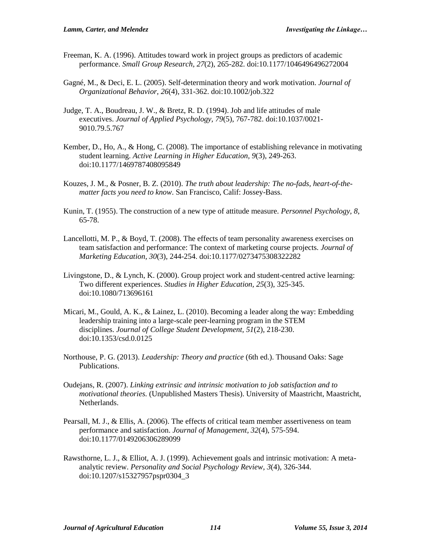- Freeman, K. A. (1996). Attitudes toward work in project groups as predictors of academic performance. *Small Group Research, 27*(2), 265-282. doi:10.1177/1046496496272004
- Gagné, M., & Deci, E. L. (2005). Self-determination theory and work motivation. *Journal of Organizational Behavior, 26*(4), 331-362. doi:10.1002/job.322
- Judge, T. A., Boudreau, J. W., & Bretz, R. D. (1994). Job and life attitudes of male executives. *Journal of Applied Psychology, 79*(5), 767-782. doi:10.1037/0021- 9010.79.5.767
- Kember, D., Ho, A., & Hong, C. (2008). The importance of establishing relevance in motivating student learning. *Active Learning in Higher Education, 9*(3), 249-263. doi:10.1177/1469787408095849
- Kouzes, J. M., & Posner, B. Z. (2010). *The truth about leadership: The no-fads, heart-of-thematter facts you need to know*. San Francisco, Calif: Jossey-Bass.
- Kunin, T. (1955). The construction of a new type of attitude measure. *Personnel Psychology, 8*, 65-78.
- Lancellotti, M. P., & Boyd, T. (2008). The effects of team personality awareness exercises on team satisfaction and performance: The context of marketing course projects. *Journal of Marketing Education, 30*(3), 244-254. doi:10.1177/0273475308322282
- Livingstone, D., & Lynch, K. (2000). Group project work and student-centred active learning: Two different experiences. *Studies in Higher Education, 25*(3), 325-345. doi:10.1080/713696161
- Micari, M., Gould, A. K., & Lainez, L. (2010). Becoming a leader along the way: Embedding leadership training into a large-scale peer-learning program in the STEM disciplines. *Journal of College Student Development, 51*(2), 218-230. doi:10.1353/csd.0.0125
- Northouse, P. G. (2013). *Leadership: Theory and practice* (6th ed.). Thousand Oaks: Sage Publications.
- Oudejans, R. (2007). *Linking extrinsic and intrinsic motivation to job satisfaction and to motivational theories.* (Unpublished Masters Thesis). University of Maastricht, Maastricht, Netherlands.
- Pearsall, M. J., & Ellis, A. (2006). The effects of critical team member assertiveness on team performance and satisfaction. *Journal of Management, 32*(4), 575-594. doi:10.1177/0149206306289099
- Rawsthorne, L. J., & Elliot, A. J. (1999). Achievement goals and intrinsic motivation: A metaanalytic review. *Personality and Social Psychology Review, 3*(4), 326-344. doi:10.1207/s15327957pspr0304\_3